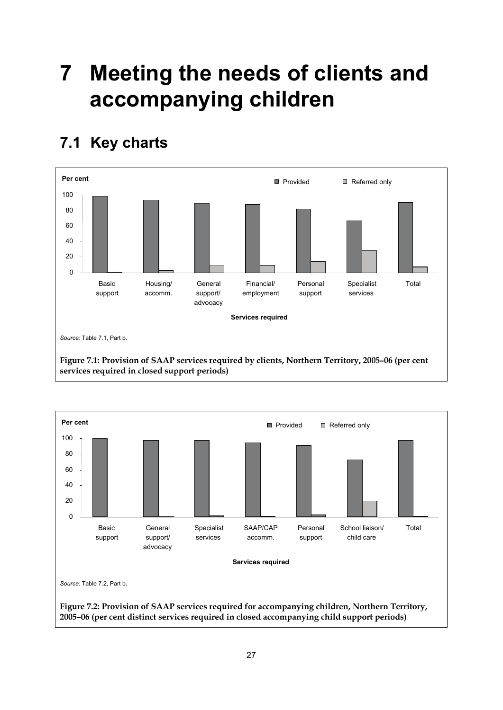## **7 Meeting the needs of clients and accompanying children**

## **7.1 Key charts**



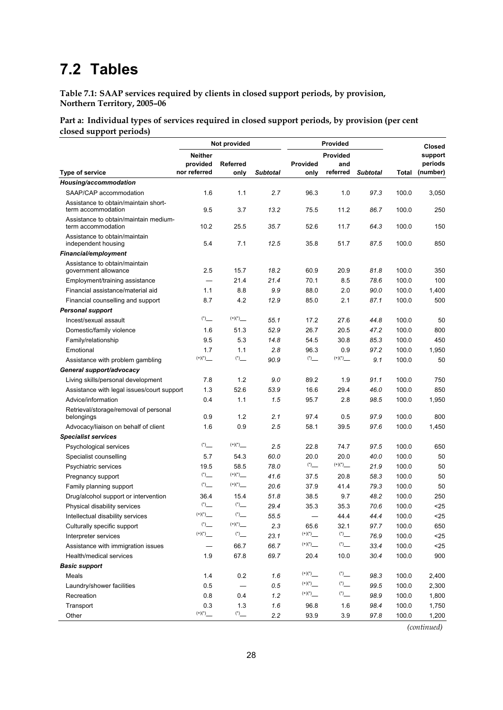## **7.2 Tables**

**Table 7.1: SAAP services required by clients in closed support periods, by provision, Northern Territory, 2005–06** 

**Part a: Individual types of services required in closed support periods, by provision (per cent closed support periods)** 

|                                                             |                                              | Not provided      |                 |                                         | Provided |                 | <b>Closed</b> |          |
|-------------------------------------------------------------|----------------------------------------------|-------------------|-----------------|-----------------------------------------|----------|-----------------|---------------|----------|
|                                                             | <b>Neither</b>                               |                   |                 |                                         | Provided |                 |               | support  |
|                                                             | provided                                     | <b>Referred</b>   |                 | Provided                                | and      |                 |               | periods  |
| Type of service                                             | nor referred                                 | only              | <b>Subtotal</b> | only                                    | referred | <b>Subtotal</b> | Total         | (number) |
| Housing/accommodation                                       |                                              |                   |                 |                                         |          |                 |               |          |
| SAAP/CAP accommodation                                      | 1.6                                          | 1.1               | 2.7             | 96.3                                    | 1.0      | 97.3            | 100.0         | 3,050    |
| Assistance to obtain/maintain short-<br>term accommodation  | 9.5                                          | 3.7               | 13.2            | 75.5                                    | 11.2     | 86.7            | 100.0         | 250      |
| Assistance to obtain/maintain medium-<br>term accommodation | 10.2                                         | 25.5              | 35.7            | 52.6                                    | 11.7     | 64.3            | 100.0         | 150      |
| Assistance to obtain/maintain<br>independent housing        | 5.4                                          | 7.1               | 12.5            | 35.8                                    | 51.7     | 87.5            | 100.0         | 850      |
| <b>Financial/employment</b>                                 |                                              |                   |                 |                                         |          |                 |               |          |
| Assistance to obtain/maintain<br>government allowance       | 2.5                                          | 15.7              | 18.2            | 60.9                                    | 20.9     | 81.8            | 100.0         | 350      |
| Employment/training assistance                              |                                              | 21.4              | 21.4            | 70.1                                    | 8.5      | 78.6            | 100.0         | 100      |
| Financial assistance/material aid                           | 1.1                                          | 8.8               | 9.9             | 88.0                                    | 2.0      | 90.0            | 100.0         | 1,400    |
| Financial counselling and support                           | 8.7                                          | 4.2               | 12.9            | 85.0                                    | 2.1      | 87.1            | 100.0         | 500      |
| <b>Personal support</b>                                     |                                              |                   |                 |                                         |          |                 |               |          |
| Incest/sexual assault                                       |                                              |                   | 55.1            | 17.2                                    | 27.6     | 44.8            | 100.0         | 50       |
| Domestic/family violence                                    | 1.6                                          | 51.3              | 52.9            | 26.7                                    | 20.5     | 47.2            | 100.0         | 800      |
| Family/relationship                                         | 9.5                                          | 5.3               | 14.8            | 54.5                                    | 30.8     | 85.3            | 100.0         | 450      |
| Emotional                                                   | 1.7                                          | 1.1               | 2.8             | 96.3                                    | 0.9      | 97.2            | 100.0         | 1,950    |
| Assistance with problem gambling                            | $(+)(*)$ __                                  |                   | 90.9            |                                         |          | 9.1             | 100.0         | 50       |
| General support/advocacy                                    |                                              |                   |                 |                                         |          |                 |               |          |
| Living skills/personal development                          | 7.8                                          | 1.2               | 9.0             | 89.2                                    | 1.9      | 91.1            | 100.0         | 750      |
| Assistance with legal issues/court support                  | 1.3                                          | 52.6              | 53.9            | 16.6                                    | 29.4     | 46.0            | 100.0         | 850      |
| Advice/information                                          | 0.4                                          | 1.1               | 1.5             | 95.7                                    | 2.8      | 98.5            | 100.0         | 1,950    |
| Retrieval/storage/removal of personal                       |                                              |                   |                 |                                         |          |                 |               |          |
| belongings                                                  | 0.9                                          | 1.2               | 2.1             | 97.4                                    | 0.5      | 97.9            | 100.0         | 800      |
| Advocacy/liaison on behalf of client                        | 1.6                                          | 0.9               | 2.5             | 58.1                                    | 39.5     | 97.6            | 100.0         | 1,450    |
| <b>Specialist services</b>                                  |                                              |                   |                 |                                         |          |                 |               |          |
| Psychological services                                      |                                              |                   | 2.5             | 22.8                                    | 74.7     | 97.5            | 100.0         | 650      |
| Specialist counselling                                      | 5.7                                          | 54.3              | 60.0            | 20.0                                    | 20.0     | 40.0            | 100.0         | 50       |
| Psychiatric services                                        | 19.5                                         | 58.5              | 78.0            |                                         |          | 21.9            | 100.0         | 50       |
| Pregnancy support                                           |                                              |                   | 41.6            | 37.5                                    | 20.8     | 58.3            | 100.0         | 50       |
| Family planning support                                     |                                              |                   | 20.6            | 37.9                                    | 41.4     | 79.3            | 100.0         | 50       |
| Drug/alcohol support or intervention                        | 36.4                                         | 15.4              | 51.8            | 38.5                                    | 9.7      | 48.2            | 100.0         | 250      |
| Physical disability services                                |                                              |                   | 29.4            | 35.3                                    | 35.3     | 70.6            | 100.0         | $25$     |
| Intellectual disability services                            | $(+)(*)$                                     | $($ *)            | 55.5            |                                         | 44.4     | 44.4            | 100.0         | 25       |
| Culturally specific support                                 |                                              |                   | 2.3             | 65.6                                    | 32.1     | 97.7            | 100.0         | 650      |
| Interpreter services                                        | $\left( ^{+}\right) ^{\left( \ast \right) }$ | $\overset{(*)}-$  | 23.1            | $\left( +\right) \! \left( ^{*}\right)$ |          | 76.9            | 100.0         | $25$     |
| Assistance with immigration issues                          |                                              | 66.7              | 66.7            |                                         |          | 33.4            | 100.0         | $25$     |
| Health/medical services                                     | 1.9                                          | 67.8              | 69.7            | 20.4                                    | 10.0     | 30.4            | 100.0         | 900      |
| <b>Basic support</b>                                        |                                              |                   |                 |                                         |          |                 |               |          |
| Meals                                                       | 1.4                                          | 0.2               | 1.6             | $(+)(*)$ __                             |          | 98.3            | 100.0         | 2,400    |
| Laundry/shower facilities                                   | 0.5                                          | $\qquad \qquad -$ | 0.5             |                                         |          | 99.5            | 100.0         | 2,300    |
| Recreation                                                  | 0.8                                          | 0.4               | 1.2             |                                         |          | 98.9            | 100.0         | 1,800    |
| Transport                                                   | 0.3                                          | 1.3               | 1.6             | 96.8                                    | 1.6      | 98.4            | 100.0         | 1,750    |
| Other                                                       |                                              |                   | 2.2             | 93.9                                    | 3.9      | 97.8            | 100.0         | 1,200    |

*(continued)*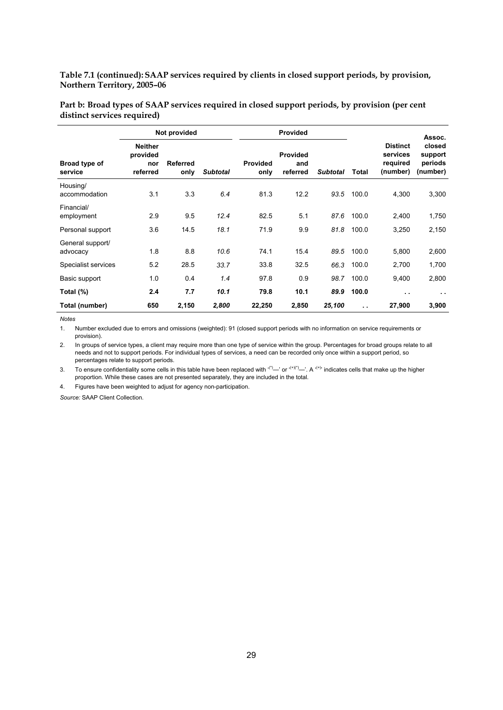**Table 7.1 (continued): SAAP services required by clients in closed support periods, by provision, Northern Territory, 2005–06** 

|                              |                                               | Not provided            |                 |                         | <b>Provided</b>                    |                 |               |                                                     | Assoc.                                   |
|------------------------------|-----------------------------------------------|-------------------------|-----------------|-------------------------|------------------------------------|-----------------|---------------|-----------------------------------------------------|------------------------------------------|
| Broad type of<br>service     | <b>Neither</b><br>provided<br>nor<br>referred | <b>Referred</b><br>only | <b>Subtotal</b> | <b>Provided</b><br>only | <b>Provided</b><br>and<br>referred | <b>Subtotal</b> | Total         | <b>Distinct</b><br>services<br>required<br>(number) | closed<br>support<br>periods<br>(number) |
| Housing/<br>accommodation    | 3.1                                           | 3.3                     | 6.4             | 81.3                    | 12.2                               | 93.5            | 100.0         | 4,300                                               | 3,300                                    |
| Financial/<br>employment     | 2.9                                           | 9.5                     | 12.4            | 82.5                    | 5.1                                | 87.6            | 100.0         | 2,400                                               | 1,750                                    |
| Personal support             | 3.6                                           | 14.5                    | 18.1            | 71.9                    | 9.9                                | 81.8            | 100.0         | 3,250                                               | 2,150                                    |
| General support/<br>advocacy | 1.8                                           | 8.8                     | 10.6            | 74.1                    | 15.4                               | 89.5            | 100.0         | 5,800                                               | 2,600                                    |
| Specialist services          | 5.2                                           | 28.5                    | 33.7            | 33.8                    | 32.5                               | 66.3            | 100.0         | 2,700                                               | 1,700                                    |
| Basic support                | 1.0                                           | 0.4                     | 1.4             | 97.8                    | 0.9                                | 98.7            | 100.0         | 9,400                                               | 2,800                                    |
| Total (%)                    | 2.4                                           | 7.7                     | 10.1            | 79.8                    | 10.1                               | 89.9            | 100.0         | $\cdot$ .                                           | $\cdots$                                 |
| Total (number)               | 650                                           | 2,150                   | 2,800           | 22,250                  | 2,850                              | 25,100          | $\sim$ $\sim$ | 27,900                                              | 3,900                                    |

**Part b: Broad types of SAAP services required in closed support periods, by provision (per cent distinct services required)** 

*Notes* 

1. Number excluded due to errors and omissions (weighted): 91 (closed support periods with no information on service requirements or provision).

2. In groups of service types, a client may require more than one type of service within the group. Percentages for broad groups relate to all needs and not to support periods. For individual types of services, a need can be recorded only once within a support period, so percentages relate to support periods.

3. To ensure confidentiality some cells in this table have been replaced with  $(')$ —' or  $(')^{(+)'}$ . A  $(')^{(+)'}$  indicates cells that make up the higher proportion. While these cases are not presented separately, they are included in the total.

4. Figures have been weighted to adjust for agency non-participation.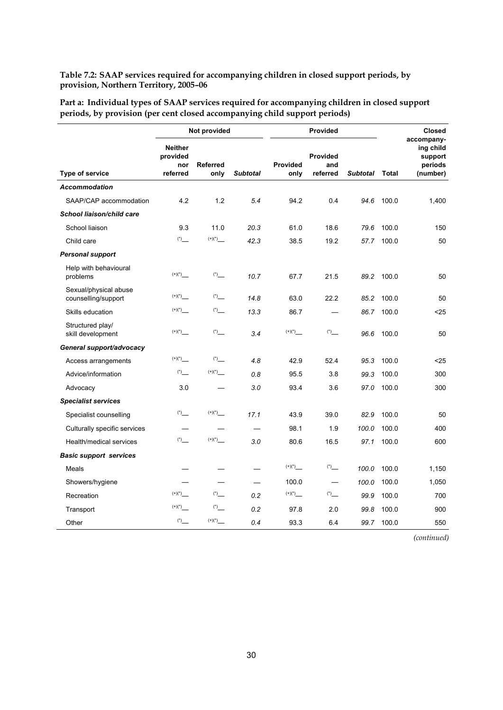**Table 7.2: SAAP services required for accompanying children in closed support periods, by provision, Northern Territory, 2005–06** 

**Part a: Individual types of SAAP services required for accompanying children in closed support periods, by provision (per cent closed accompanying child support periods)** 

|                                              | Not provided                                  |                         |                 |                                            | <b>Provided</b>             | <b>Closed</b>   |              |                                                           |
|----------------------------------------------|-----------------------------------------------|-------------------------|-----------------|--------------------------------------------|-----------------------------|-----------------|--------------|-----------------------------------------------------------|
| <b>Type of service</b>                       | <b>Neither</b><br>provided<br>nor<br>referred | <b>Referred</b><br>only | <b>Subtotal</b> | <b>Provided</b><br>only                    | Provided<br>and<br>referred | <b>Subtotal</b> | <b>Total</b> | accompany-<br>ing child<br>support<br>periods<br>(number) |
| <b>Accommodation</b>                         |                                               |                         |                 |                                            |                             |                 |              |                                                           |
| SAAP/CAP accommodation                       | 4.2                                           | 1.2                     | 5.4             | 94.2                                       | 0.4                         | 94.6            | 100.0        | 1,400                                                     |
| School liaison/child care                    |                                               |                         |                 |                                            |                             |                 |              |                                                           |
| School liaison                               | 9.3                                           | 11.0                    | 20.3            | 61.0                                       | 18.6                        | 79.6            | 100.0        | 150                                                       |
| Child care                                   |                                               |                         | 42.3            | 38.5                                       | 19.2                        | 57.7            | 100.0        | 50                                                        |
| <b>Personal support</b>                      |                                               |                         |                 |                                            |                             |                 |              |                                                           |
| Help with behavioural<br>problems            |                                               |                         | 10.7            | 67.7                                       | 21.5                        | 89.2            | 100.0        | 50                                                        |
| Sexual/physical abuse<br>counselling/support |                                               |                         | 14.8            | 63.0                                       | 22.2                        | 85.2            | 100.0        | 50                                                        |
| Skills education                             | $(+)(*)$                                      | $(*)$                   | 13.3            | 86.7                                       |                             | 86.7            | 100.0        | $25$                                                      |
| Structured play/<br>skill development        | $(+)(*)$                                      | $(*)$                   | 3.4             | $\left( ^{+}\right) \! \left( ^{*}\right)$ | $(*)$                       | 96.6            | 100.0        | 50                                                        |
| General support/advocacy                     |                                               |                         |                 |                                            |                             |                 |              |                                                           |
| Access arrangements                          | $\left( ^{+}\right) \! \left( ^{*}\right)$    | $(*)$                   | 4.8             | 42.9                                       | 52.4                        | 95.3            | 100.0        | $25$                                                      |
| Advice/information                           |                                               |                         | 0.8             | 95.5                                       | 3.8                         | 99.3            | 100.0        | 300                                                       |
| Advocacy                                     | 3.0                                           |                         | 3.0             | 93.4                                       | 3.6                         | 97.0            | 100.0        | 300                                                       |
| <b>Specialist services</b>                   |                                               |                         |                 |                                            |                             |                 |              |                                                           |
| Specialist counselling                       | $(*)$                                         |                         | 17.1            | 43.9                                       | 39.0                        | 82.9            | 100.0        | 50                                                        |
| Culturally specific services                 |                                               |                         |                 | 98.1                                       | 1.9                         | 100.0           | 100.0        | 400                                                       |
| Health/medical services                      |                                               |                         | 3.0             | 80.6                                       | 16.5                        | 97.1            | 100.0        | 600                                                       |
| <b>Basic support services</b>                |                                               |                         |                 |                                            |                             |                 |              |                                                           |
| Meals                                        |                                               |                         |                 |                                            | $(*)$                       | 100.0           | 100.0        | 1,150                                                     |
| Showers/hygiene                              |                                               |                         |                 | 100.0                                      |                             | 100.0           | 100.0        | 1,050                                                     |
| Recreation                                   |                                               | $(*)$                   | 0.2             |                                            | $(*)$                       | 99.9            | 100.0        | 700                                                       |
| Transport                                    | $\left( ^{+}\right) \! \left( ^{*}\right)$    | $(*)$                   | 0.2             | 97.8                                       | 2.0                         | 99.8            | 100.0        | 900                                                       |
| Other                                        |                                               |                         | 0.4             | 93.3                                       | 6.4                         |                 | 99.7 100.0   | 550                                                       |

*(continued)*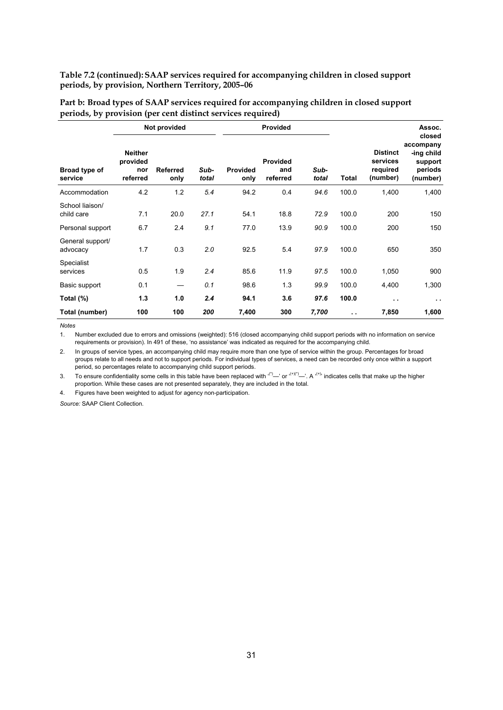**Table 7.2 (continued): SAAP services required for accompanying children in closed support periods, by provision, Northern Territory, 2005–06** 

| Part b: Broad types of SAAP services required for accompanying children in closed support |  |  |
|-------------------------------------------------------------------------------------------|--|--|
| periods, by provision (per cent distinct services required)                               |  |  |

|                               | Not provided                                  |                         |               |                         | <b>Provided</b>                    |               |                      |                                                     | Assoc.                                                              |
|-------------------------------|-----------------------------------------------|-------------------------|---------------|-------------------------|------------------------------------|---------------|----------------------|-----------------------------------------------------|---------------------------------------------------------------------|
| Broad type of<br>service      | <b>Neither</b><br>provided<br>nor<br>referred | <b>Referred</b><br>only | Sub-<br>total | <b>Provided</b><br>only | <b>Provided</b><br>and<br>referred | Sub-<br>total | <b>Total</b>         | <b>Distinct</b><br>services<br>required<br>(number) | closed<br>accompany<br>-ing child<br>support<br>periods<br>(number) |
| Accommodation                 | 4.2                                           | 1.2                     | 5.4           | 94.2                    | 0.4                                | 94.6          | 100.0                | 1,400                                               | 1,400                                                               |
| School liaison/<br>child care | 7.1                                           | 20.0                    | 27.1          | 54.1                    | 18.8                               | 72.9          | 100.0                | 200                                                 | 150                                                                 |
| Personal support              | 6.7                                           | 2.4                     | 9.1           | 77.0                    | 13.9                               | 90.9          | 100.0                | 200                                                 | 150                                                                 |
| General support/<br>advocacy  | 1.7                                           | 0.3                     | 2.0           | 92.5                    | 5.4                                | 97.9          | 100.0                | 650                                                 | 350                                                                 |
| Specialist<br>services        | 0.5                                           | 1.9                     | 2.4           | 85.6                    | 11.9                               | 97.5          | 100.0                | 1,050                                               | 900                                                                 |
| Basic support                 | 0.1                                           |                         | 0.1           | 98.6                    | 1.3                                | 99.9          | 100.0                | 4,400                                               | 1,300                                                               |
| Total (%)                     | 1.3                                           | 1.0                     | 2.4           | 94.1                    | 3.6                                | 97.6          | 100.0                | $\sim$ $\sim$                                       | $\sim$ $\sim$                                                       |
| Total (number)                | 100                                           | 100                     | 200           | 7,400                   | 300                                | 7,700         | $\ddot{\phantom{a}}$ | 7,850                                               | 1,600                                                               |

*Notes* 

1. Number excluded due to errors and omissions (weighted): 516 (closed accompanying child support periods with no information on service requirements or provision). In 491 of these, 'no assistance' was indicated as required for the accompanying child.

2. In groups of service types, an accompanying child may require more than one type of service within the group. Percentages for broad groups relate to all needs and not to support periods. For individual types of services, a need can be recorded only once within a support period, so percentages relate to accompanying child support periods.

3. To ensure confidentiality some cells in this table have been replaced with  $(')$ —' or  $(+)$ ' $(+)$  indicates cells that make up the higher proportion. While these cases are not presented separately, they are included in the total.

4. Figures have been weighted to adjust for agency non-participation.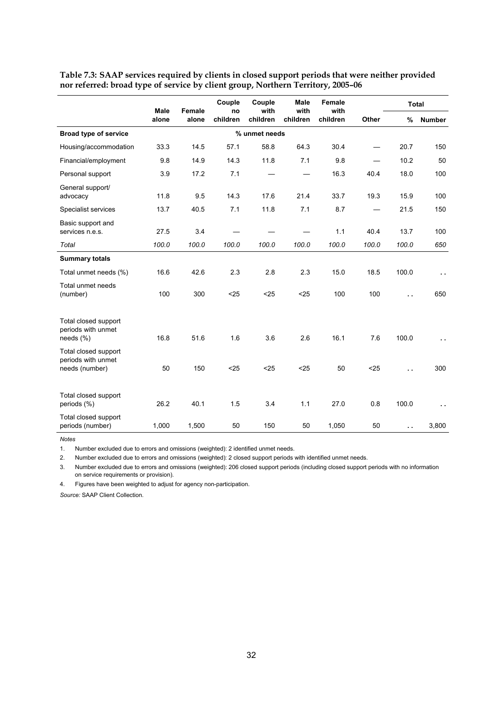|                                                              | <b>Male</b> | <b>Female</b> | Couple<br>no | Couple<br>with | <b>Male</b><br>with | Female<br>with |       |                      | <b>Total</b>         |
|--------------------------------------------------------------|-------------|---------------|--------------|----------------|---------------------|----------------|-------|----------------------|----------------------|
|                                                              | alone       | alone         | children     | children       | children            | children       | Other | %                    | <b>Number</b>        |
| <b>Broad type of service</b>                                 |             |               |              | % unmet needs  |                     |                |       |                      |                      |
| Housing/accommodation                                        | 33.3        | 14.5          | 57.1         | 58.8           | 64.3                | 30.4           |       | 20.7                 | 150                  |
| Financial/employment                                         | 9.8         | 14.9          | 14.3         | 11.8           | 7.1                 | 9.8            |       | 10.2                 | 50                   |
| Personal support                                             | 3.9         | 17.2          | 7.1          |                |                     | 16.3           | 40.4  | 18.0                 | 100                  |
| General support/<br>advocacy                                 | 11.8        | 9.5           | 14.3         | 17.6           | 21.4                | 33.7           | 19.3  | 15.9                 | 100                  |
| Specialist services                                          | 13.7        | 40.5          | 7.1          | 11.8           | 7.1                 | 8.7            |       | 21.5                 | 150                  |
| Basic support and<br>services n.e.s.                         | 27.5        | 3.4           |              |                |                     | 1.1            | 40.4  | 13.7                 | 100                  |
| Total                                                        | 100.0       | 100.0         | 100.0        | 100.0          | 100.0               | 100.0          | 100.0 | 100.0                | 650                  |
| <b>Summary totals</b>                                        |             |               |              |                |                     |                |       |                      |                      |
| Total unmet needs (%)                                        | 16.6        | 42.6          | 2.3          | 2.8            | 2.3                 | 15.0           | 18.5  | 100.0                | $\ddot{\phantom{0}}$ |
| Total unmet needs<br>(number)                                | 100         | 300           | < 25         | $25$           | $25$                | 100            | 100   | г.                   | 650                  |
| Total closed support<br>periods with unmet<br>needs $(\%)$   | 16.8        | 51.6          | 1.6          | 3.6            | 2.6                 | 16.1           | 7.6   | 100.0                | Ω.                   |
| Total closed support<br>periods with unmet<br>needs (number) | 50          | 150           | $25$         | < 25           | $25$                | 50             | < 25  | Ω.                   | 300                  |
| Total closed support<br>periods (%)                          | 26.2        | 40.1          | 1.5          | 3.4            | 1.1                 | 27.0           | 0.8   | 100.0                | $\ddot{\phantom{0}}$ |
| Total closed support<br>periods (number)                     | 1,000       | 1,500         | 50           | 150            | 50                  | 1,050          | 50    | $\ddot{\phantom{a}}$ | 3,800                |

**Table 7.3: SAAP services required by clients in closed support periods that were neither provided nor referred: broad type of service by client group, Northern Territory, 2005–06** 

*Notes* 

1. Number excluded due to errors and omissions (weighted): 2 identified unmet needs.

2. Number excluded due to errors and omissions (weighted): 2 closed support periods with identified unmet needs.

3. Number excluded due to errors and omissions (weighted): 206 closed support periods (including closed support periods with no information on service requirements or provision).

4. Figures have been weighted to adjust for agency non-participation.